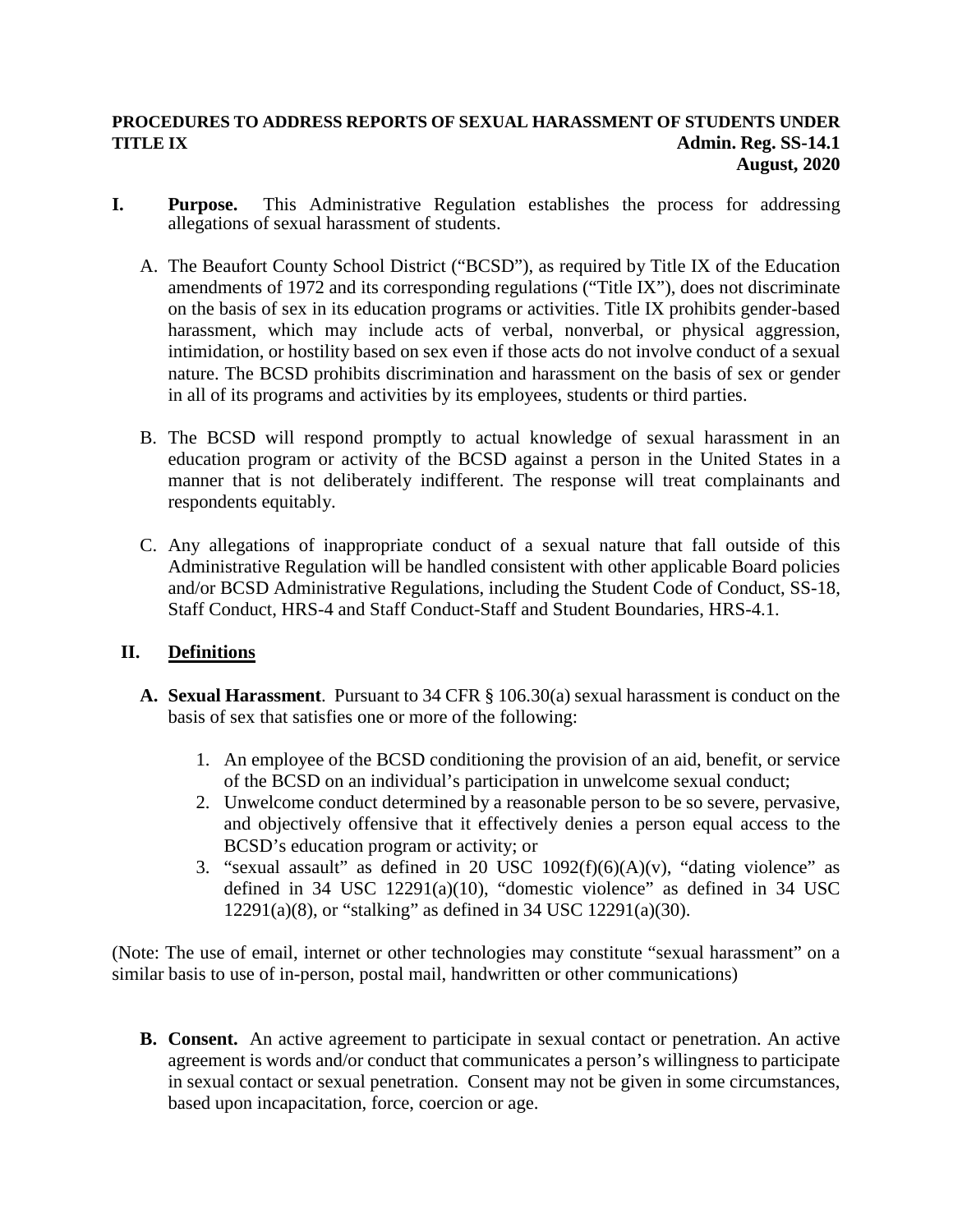#### **PROCEDURES TO ADDRESS REPORTS OF SEXUAL HARASSMENT OF STUDENTS UNDER TITLE IX** Admin. Reg. SS-14.1  **August, 2020**

- **I. Purpose.** This Administrative Regulation establishes the process for addressing allegations of sexual harassment of students.
	- A. The Beaufort County School District ("BCSD"), as required by Title IX of the Education amendments of 1972 and its corresponding regulations ("Title IX"), does not discriminate on the basis of sex in its education programs or activities. Title IX prohibits gender-based harassment, which may include acts of verbal, nonverbal, or physical aggression, intimidation, or hostility based on sex even if those acts do not involve conduct of a sexual nature. The BCSD prohibits discrimination and harassment on the basis of sex or gender in all of its programs and activities by its employees, students or third parties.
	- B. The BCSD will respond promptly to actual knowledge of sexual harassment in an education program or activity of the BCSD against a person in the United States in a manner that is not deliberately indifferent. The response will treat complainants and respondents equitably.
	- C. Any allegations of inappropriate conduct of a sexual nature that fall outside of this Administrative Regulation will be handled consistent with other applicable Board policies and/or BCSD Administrative Regulations, including the Student Code of Conduct, SS-18, Staff Conduct, HRS-4 and Staff Conduct-Staff and Student Boundaries, HRS-4.1.

# **II. Definitions**

- **A. Sexual Harassment**. Pursuant to 34 CFR § 106.30(a) sexual harassment is conduct on the basis of sex that satisfies one or more of the following:
	- 1. An employee of the BCSD conditioning the provision of an aid, benefit, or service of the BCSD on an individual's participation in unwelcome sexual conduct;
	- 2. Unwelcome conduct determined by a reasonable person to be so severe, pervasive, and objectively offensive that it effectively denies a person equal access to the BCSD's education program or activity; or
	- 3. "sexual assault" as defined in 20 USC  $1092(f)(6)(A)(v)$ , "dating violence" as defined in 34 USC 12291(a)(10), "domestic violence" as defined in 34 USC 12291(a)(8), or "stalking" as defined in 34 USC 12291(a)(30).

(Note: The use of email, internet or other technologies may constitute "sexual harassment" on a similar basis to use of in-person, postal mail, handwritten or other communications)

**B. Consent.** An active agreement to participate in sexual contact or penetration. An active agreement is words and/or conduct that communicates a person's willingness to participate in sexual contact or sexual penetration. Consent may not be given in some circumstances, based upon incapacitation, force, coercion or age.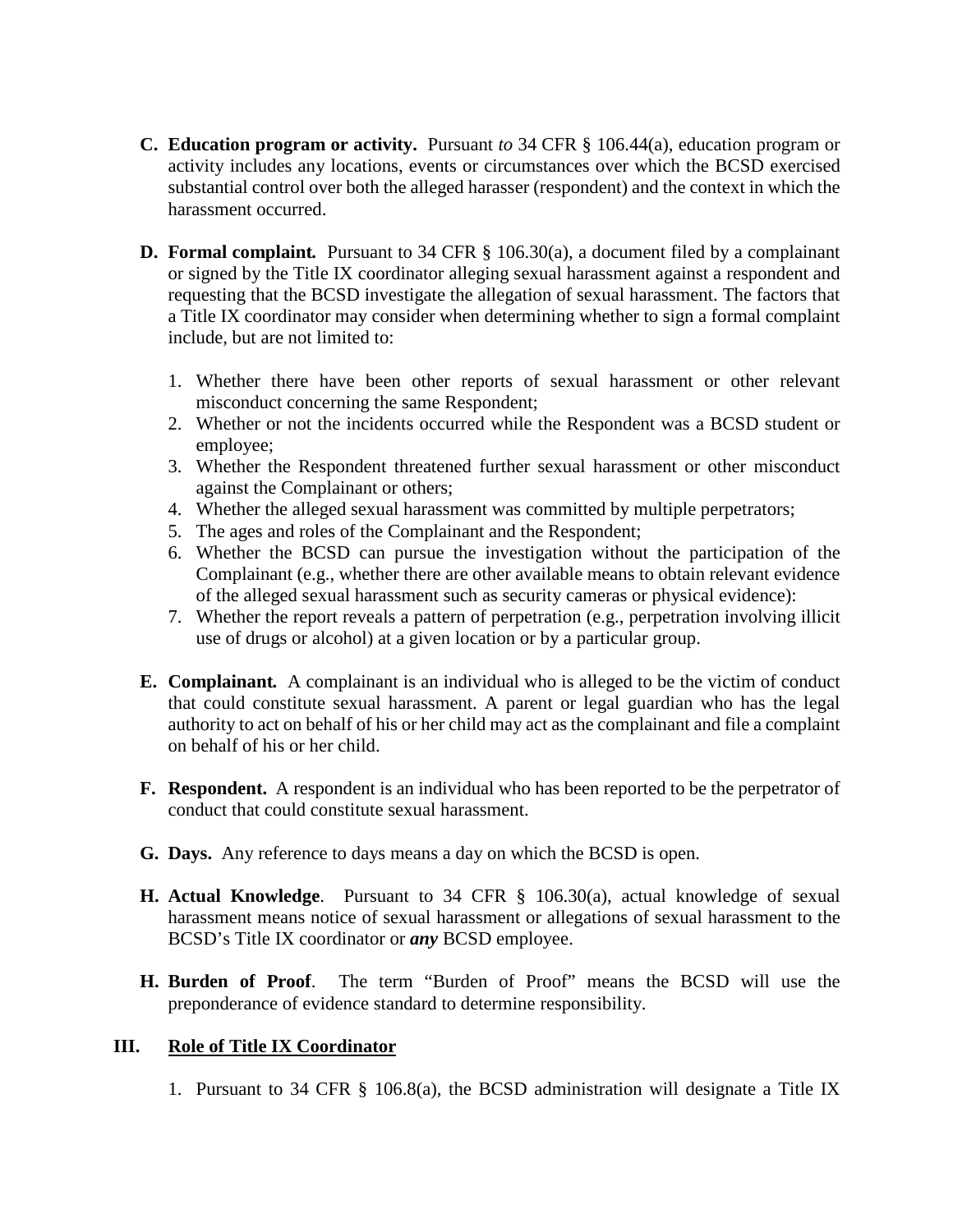- **C. Education program or activity.** Pursuant *to* 34 CFR § 106.44(a), education program or activity includes any locations, events or circumstances over which the BCSD exercised substantial control over both the alleged harasser (respondent) and the context in which the harassment occurred.
- **D. Formal complaint***.* Pursuant to 34 CFR § 106.30(a), a document filed by a complainant or signed by the Title IX coordinator alleging sexual harassment against a respondent and requesting that the BCSD investigate the allegation of sexual harassment. The factors that a Title IX coordinator may consider when determining whether to sign a formal complaint include, but are not limited to:
	- 1. Whether there have been other reports of sexual harassment or other relevant misconduct concerning the same Respondent;
	- 2. Whether or not the incidents occurred while the Respondent was a BCSD student or employee;
	- 3. Whether the Respondent threatened further sexual harassment or other misconduct against the Complainant or others;
	- 4. Whether the alleged sexual harassment was committed by multiple perpetrators;
	- 5. The ages and roles of the Complainant and the Respondent;
	- 6. Whether the BCSD can pursue the investigation without the participation of the Complainant (e.g., whether there are other available means to obtain relevant evidence of the alleged sexual harassment such as security cameras or physical evidence):
	- 7. Whether the report reveals a pattern of perpetration (e.g., perpetration involving illicit use of drugs or alcohol) at a given location or by a particular group.
- **E. Complainant***.* A complainant is an individual who is alleged to be the victim of conduct that could constitute sexual harassment. A parent or legal guardian who has the legal authority to act on behalf of his or her child may act as the complainant and file a complaint on behalf of his or her child.
- **F. Respondent.** A respondent is an individual who has been reported to be the perpetrator of conduct that could constitute sexual harassment.
- **G. Days.**Any reference to days means a day on which the BCSD is open.
- **H. Actual Knowledge**. Pursuant to 34 CFR § 106.30(a), actual knowledge of sexual harassment means notice of sexual harassment or allegations of sexual harassment to the BCSD's Title IX coordinator or *any* BCSD employee.
- **H. Burden of Proof**. The term "Burden of Proof" means the BCSD will use the preponderance of evidence standard to determine responsibility.

# **III. Role of Title IX Coordinator**

1. Pursuant to 34 CFR § 106.8(a), the BCSD administration will designate a Title IX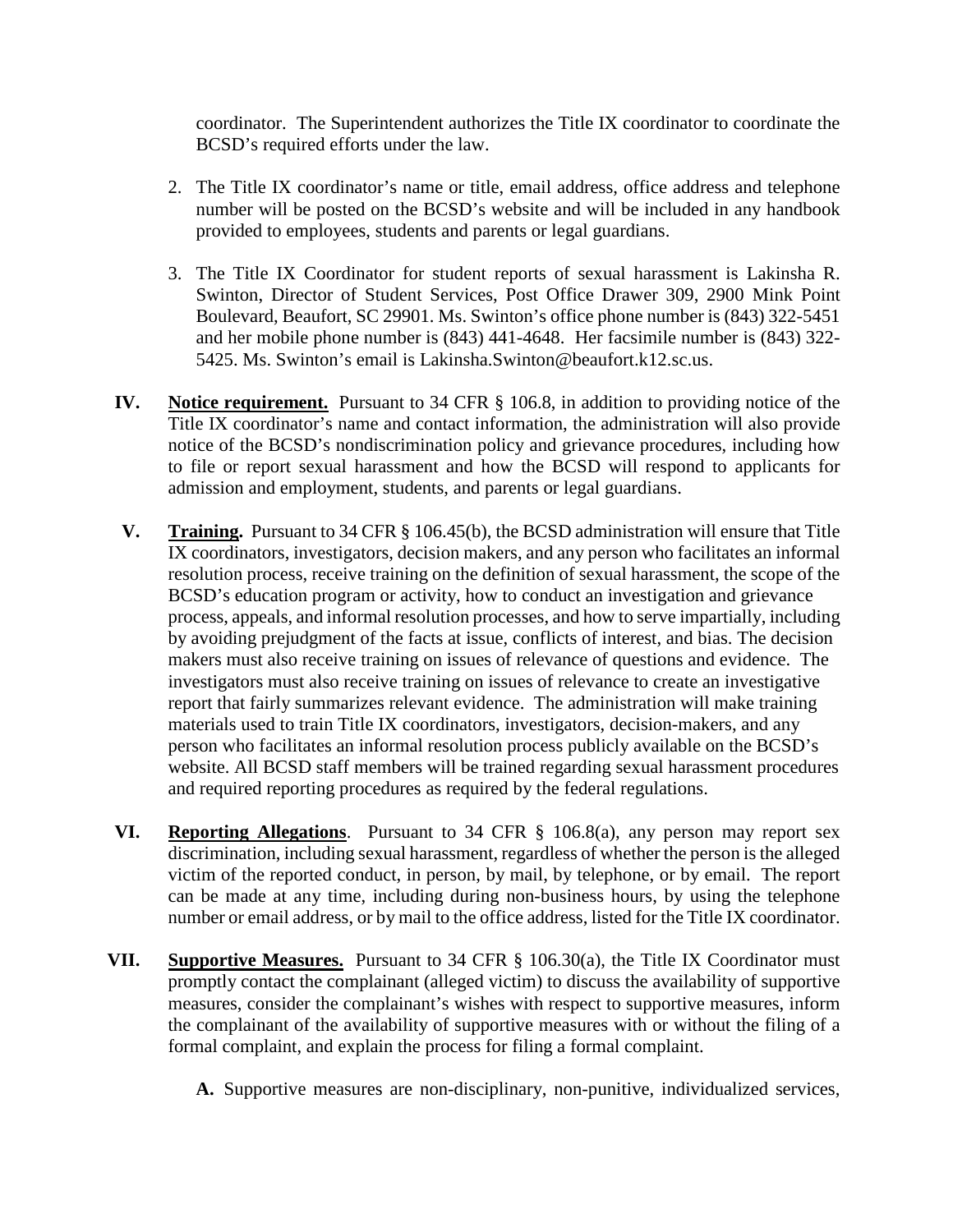coordinator. The Superintendent authorizes the Title IX coordinator to coordinate the BCSD's required efforts under the law.

- 2. The Title IX coordinator's name or title, email address, office address and telephone number will be posted on the BCSD's website and will be included in any handbook provided to employees, students and parents or legal guardians.
- 3. The Title IX Coordinator for student reports of sexual harassment is Lakinsha R. Swinton, Director of Student Services, Post Office Drawer 309, 2900 Mink Point Boulevard, Beaufort, SC 29901. Ms. Swinton's office phone number is (843) 322-5451 and her mobile phone number is (843) 441-4648. Her facsimile number is (843) 322- 5425. Ms. Swinton's email is Lakinsha.Swinton@beaufort.k12.sc.us.
- **IV. Notice requirement.** Pursuant to 34 CFR § 106.8, in addition to providing notice of the Title IX coordinator's name and contact information, the administration will also provide notice of the BCSD's nondiscrimination policy and grievance procedures, including how to file or report sexual harassment and how the BCSD will respond to applicants for admission and employment, students, and parents or legal guardians.
- **V. Training.** Pursuant to 34 CFR § 106.45(b), the BCSD administration will ensure that Title IX coordinators, investigators, decision makers, and any person who facilitates an informal resolution process, receive training on the definition of sexual harassment, the scope of the BCSD's education program or activity, how to conduct an investigation and grievance process, appeals, and informal resolution processes, and how to serve impartially, including by avoiding prejudgment of the facts at issue, conflicts of interest, and bias. The decision makers must also receive training on issues of relevance of questions and evidence. The investigators must also receive training on issues of relevance to create an investigative report that fairly summarizes relevant evidence. The administration will make training materials used to train Title IX coordinators, investigators, decision-makers, and any person who facilitates an informal resolution process publicly available on the BCSD's website. All BCSD staff members will be trained regarding sexual harassment procedures and required reporting procedures as required by the federal regulations.
- **VI. Reporting Allegations**. Pursuant to 34 CFR § 106.8(a), any person may report sex discrimination, including sexual harassment, regardless of whether the person is the alleged victim of the reported conduct, in person, by mail, by telephone, or by email. The report can be made at any time, including during non-business hours, by using the telephone number or email address, or by mail to the office address, listed for the Title IX coordinator.
- **VII. Supportive Measures.** Pursuant to 34 CFR § 106.30(a), the Title IX Coordinator must promptly contact the complainant (alleged victim) to discuss the availability of supportive measures, consider the complainant's wishes with respect to supportive measures, inform the complainant of the availability of supportive measures with or without the filing of a formal complaint, and explain the process for filing a formal complaint.
	- **A.** Supportive measures are non-disciplinary, non-punitive, individualized services,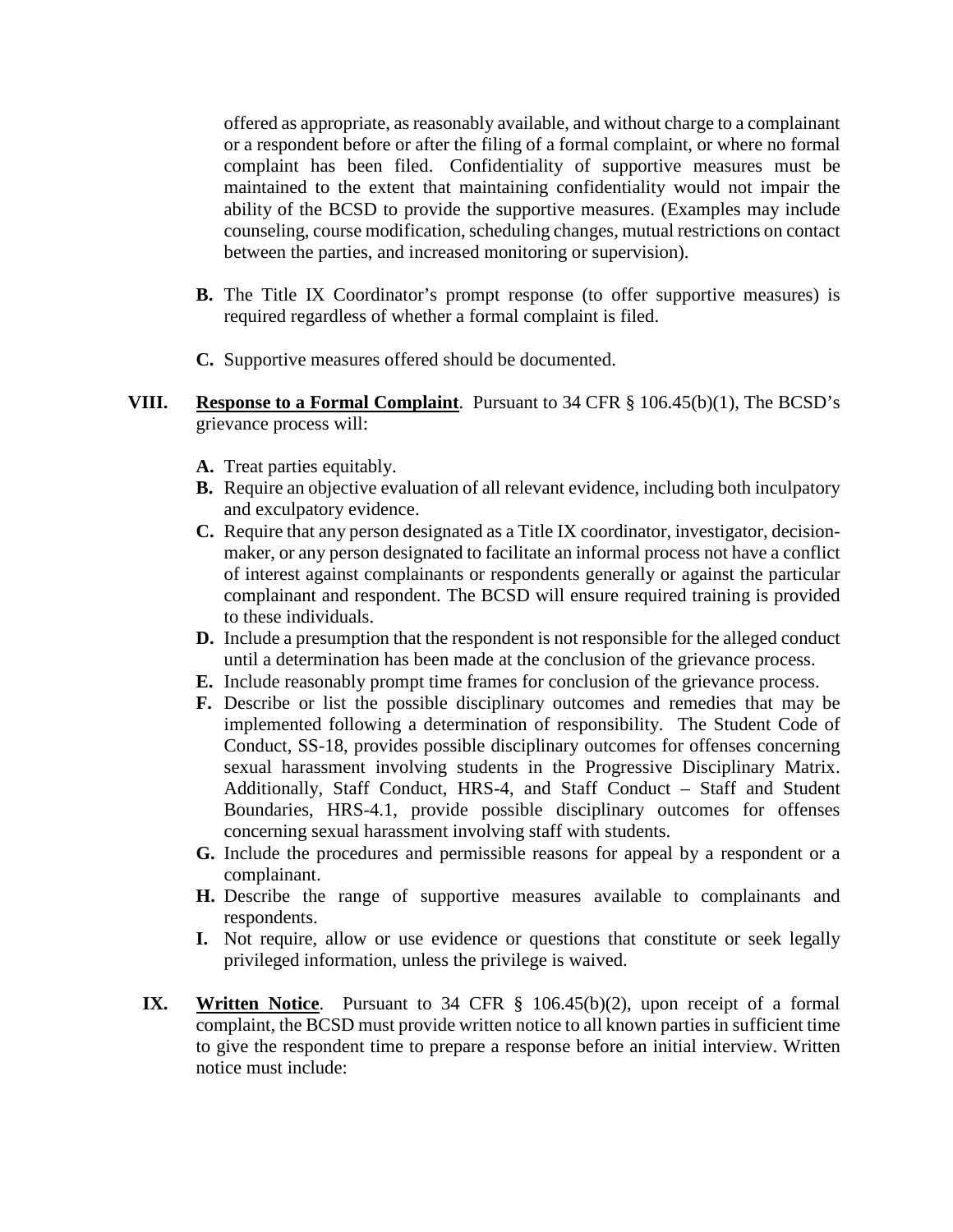offered as appropriate, as reasonably available, and without charge to a complainant or a respondent before or after the filing of a formal complaint, or where no formal complaint has been filed. Confidentiality of supportive measures must be maintained to the extent that maintaining confidentiality would not impair the ability of the BCSD to provide the supportive measures. (Examples may include counseling, course modification, scheduling changes, mutual restrictions on contact between the parties, and increased monitoring or supervision).

- **B.** The Title IX Coordinator's prompt response (to offer supportive measures) is required regardless of whether a formal complaint is filed.
- **C.** Supportive measures offered should be documented.

#### **VIII. Response to a Formal Complaint**. Pursuant to 34 CFR § 106.45(b)(1), The BCSD's grievance process will:

- **A.** Treat parties equitably.
- **B.** Require an objective evaluation of all relevant evidence, including both inculpatory and exculpatory evidence.
- **C.** Require that any person designated as a Title IX coordinator, investigator, decisionmaker, or any person designated to facilitate an informal process not have a conflict of interest against complainants or respondents generally or against the particular complainant and respondent. The BCSD will ensure required training is provided to these individuals.
- **D.** Include a presumption that the respondent is not responsible for the alleged conduct until a determination has been made at the conclusion of the grievance process.
- **E.** Include reasonably prompt time frames for conclusion of the grievance process.
- **F.** Describe or list the possible disciplinary outcomes and remedies that may be implemented following a determination of responsibility. The Student Code of Conduct, SS-18, provides possible disciplinary outcomes for offenses concerning sexual harassment involving students in the Progressive Disciplinary Matrix. Additionally, Staff Conduct, HRS-4, and Staff Conduct – Staff and Student Boundaries, HRS-4.1, provide possible disciplinary outcomes for offenses concerning sexual harassment involving staff with students.
- **G.** Include the procedures and permissible reasons for appeal by a respondent or a complainant.
- **H.** Describe the range of supportive measures available to complainants and respondents.
- **I.** Not require, allow or use evidence or questions that constitute or seek legally privileged information, unless the privilege is waived.
- **IX. Written Notice**. Pursuant to 34 CFR § 106.45(b)(2), upon receipt of a formal complaint, the BCSD must provide written notice to all known parties in sufficient time to give the respondent time to prepare a response before an initial interview. Written notice must include: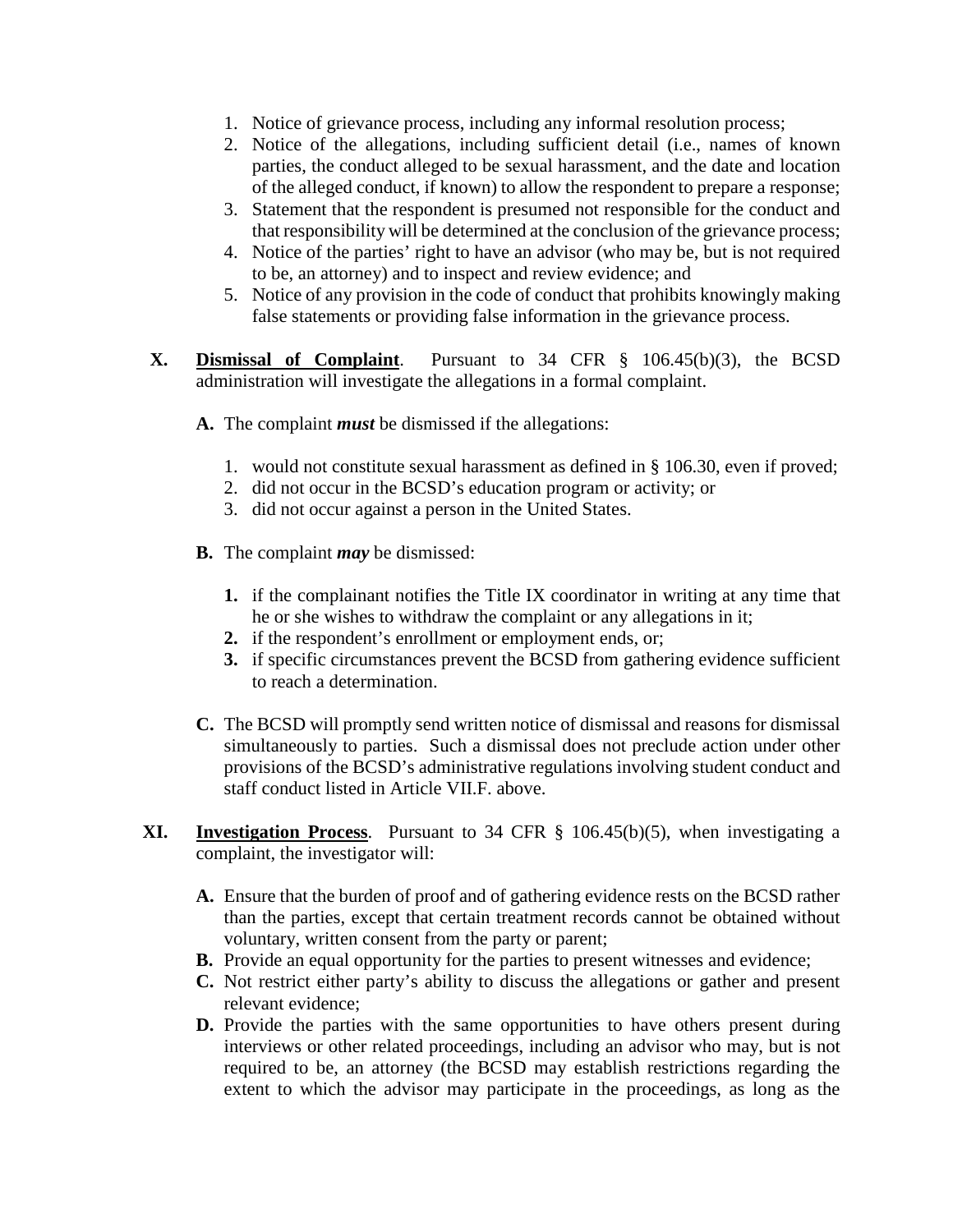- 1. Notice of grievance process, including any informal resolution process;
- 2. Notice of the allegations, including sufficient detail (i.e., names of known parties, the conduct alleged to be sexual harassment, and the date and location of the alleged conduct, if known) to allow the respondent to prepare a response;
- 3. Statement that the respondent is presumed not responsible for the conduct and that responsibility will be determined at the conclusion of the grievance process;
- 4. Notice of the parties' right to have an advisor (who may be, but is not required to be, an attorney) and to inspect and review evidence; and
- 5. Notice of any provision in the code of conduct that prohibits knowingly making false statements or providing false information in the grievance process.
- **X. Dismissal of Complaint**. Pursuant to 34 CFR § 106.45(b)(3), the BCSD administration will investigate the allegations in a formal complaint.
	- **A.** The complaint *must* be dismissed if the allegations:
		- 1. would not constitute sexual harassment as defined in § 106.30, even if proved;
		- 2. did not occur in the BCSD's education program or activity; or
		- 3. did not occur against a person in the United States.
	- **B.** The complaint *may* be dismissed:
		- **1.** if the complainant notifies the Title IX coordinator in writing at any time that he or she wishes to withdraw the complaint or any allegations in it;
		- **2.** if the respondent's enrollment or employment ends, or;
		- **3.** if specific circumstances prevent the BCSD from gathering evidence sufficient to reach a determination.
	- **C.** The BCSD will promptly send written notice of dismissal and reasons for dismissal simultaneously to parties. Such a dismissal does not preclude action under other provisions of the BCSD's administrative regulations involving student conduct and staff conduct listed in Article VII.F. above.
- **XI. Investigation Process**. Pursuant to 34 CFR § 106.45(b)(5), when investigating a complaint, the investigator will:
	- **A.** Ensure that the burden of proof and of gathering evidence rests on the BCSD rather than the parties, except that certain treatment records cannot be obtained without voluntary, written consent from the party or parent;
	- **B.** Provide an equal opportunity for the parties to present witnesses and evidence;
	- **C.** Not restrict either party's ability to discuss the allegations or gather and present relevant evidence;
	- **D.** Provide the parties with the same opportunities to have others present during interviews or other related proceedings, including an advisor who may, but is not required to be, an attorney (the BCSD may establish restrictions regarding the extent to which the advisor may participate in the proceedings, as long as the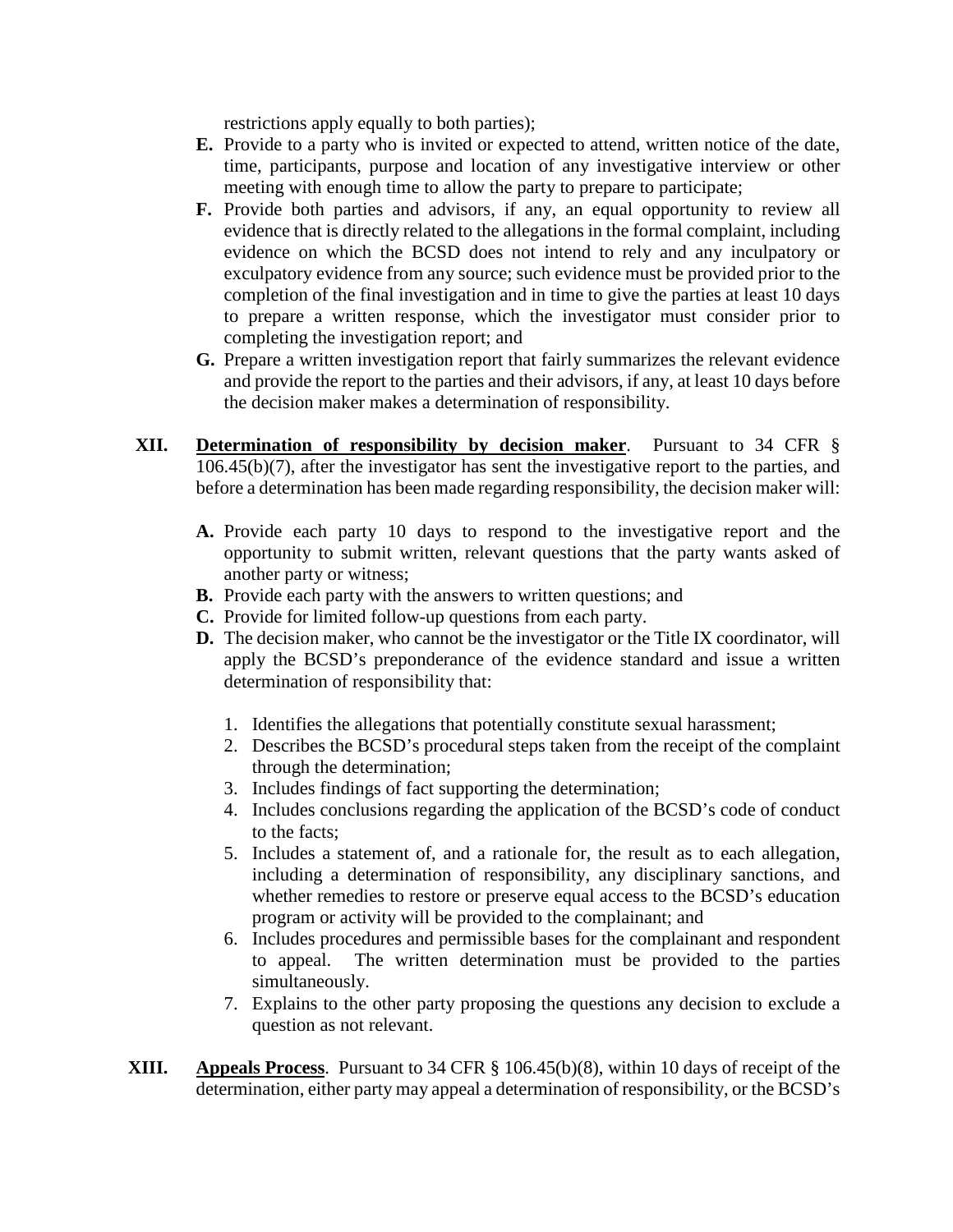restrictions apply equally to both parties);

- **E.** Provide to a party who is invited or expected to attend, written notice of the date, time, participants, purpose and location of any investigative interview or other meeting with enough time to allow the party to prepare to participate;
- **F.** Provide both parties and advisors, if any, an equal opportunity to review all evidence that is directly related to the allegations in the formal complaint, including evidence on which the BCSD does not intend to rely and any inculpatory or exculpatory evidence from any source; such evidence must be provided prior to the completion of the final investigation and in time to give the parties at least 10 days to prepare a written response, which the investigator must consider prior to completing the investigation report; and
- **G.** Prepare a written investigation report that fairly summarizes the relevant evidence and provide the report to the parties and their advisors, if any, at least 10 days before the decision maker makes a determination of responsibility.
- **XII. Determination of responsibility by decision maker**. Pursuant to 34 CFR § 106.45(b)(7), after the investigator has sent the investigative report to the parties, and before a determination has been made regarding responsibility, the decision maker will:
	- **A.** Provide each party 10 days to respond to the investigative report and the opportunity to submit written, relevant questions that the party wants asked of another party or witness;
	- **B.** Provide each party with the answers to written questions; and
	- **C.** Provide for limited follow-up questions from each party.
	- **D.** The decision maker, who cannot be the investigator or the Title IX coordinator, will apply the BCSD's preponderance of the evidence standard and issue a written determination of responsibility that:
		- 1. Identifies the allegations that potentially constitute sexual harassment;
		- 2. Describes the BCSD's procedural steps taken from the receipt of the complaint through the determination;
		- 3. Includes findings of fact supporting the determination;
		- 4. Includes conclusions regarding the application of the BCSD's code of conduct to the facts;
		- 5. Includes a statement of, and a rationale for, the result as to each allegation, including a determination of responsibility, any disciplinary sanctions, and whether remedies to restore or preserve equal access to the BCSD's education program or activity will be provided to the complainant; and
		- 6. Includes procedures and permissible bases for the complainant and respondent to appeal. The written determination must be provided to the parties simultaneously.
		- 7. Explains to the other party proposing the questions any decision to exclude a question as not relevant.
- **XIII. Appeals Process**. Pursuant to 34 CFR § 106.45(b)(8), within 10 days of receipt of the determination, either party may appeal a determination of responsibility, or the BCSD's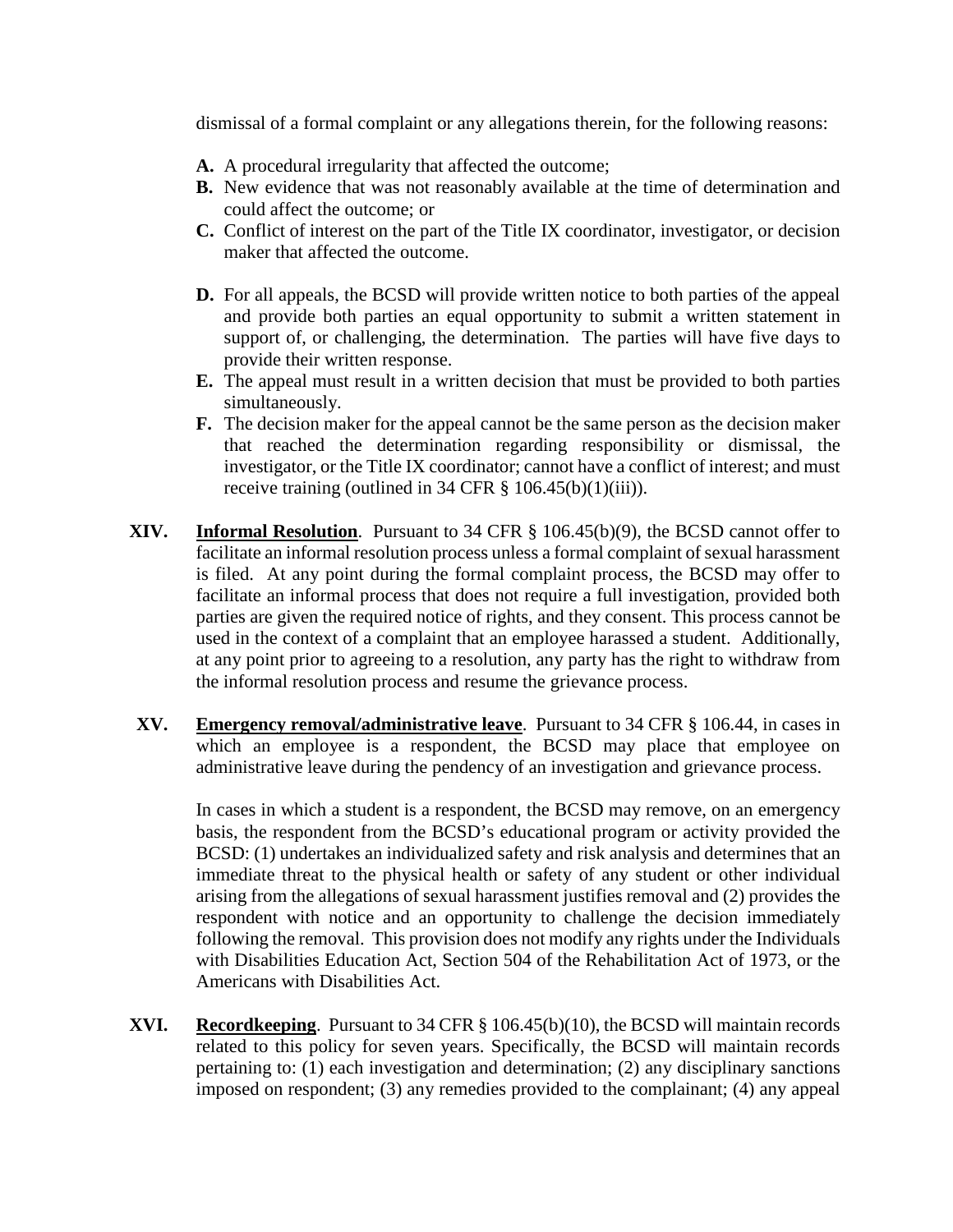dismissal of a formal complaint or any allegations therein, for the following reasons:

- **A.** A procedural irregularity that affected the outcome;
- **B.** New evidence that was not reasonably available at the time of determination and could affect the outcome; or
- **C.** Conflict of interest on the part of the Title IX coordinator, investigator, or decision maker that affected the outcome.
- **D.** For all appeals, the BCSD will provide written notice to both parties of the appeal and provide both parties an equal opportunity to submit a written statement in support of, or challenging, the determination. The parties will have five days to provide their written response.
- **E.** The appeal must result in a written decision that must be provided to both parties simultaneously.
- **F.** The decision maker for the appeal cannot be the same person as the decision maker that reached the determination regarding responsibility or dismissal, the investigator, or the Title IX coordinator; cannot have a conflict of interest; and must receive training (outlined in 34 CFR  $\S$  106.45(b)(1)(iii)).
- **XIV. Informal Resolution**. Pursuant to 34 CFR § 106.45(b)(9), the BCSD cannot offer to facilitate an informal resolution process unless a formal complaint of sexual harassment is filed. At any point during the formal complaint process, the BCSD may offer to facilitate an informal process that does not require a full investigation, provided both parties are given the required notice of rights, and they consent. This process cannot be used in the context of a complaint that an employee harassed a student. Additionally, at any point prior to agreeing to a resolution, any party has the right to withdraw from the informal resolution process and resume the grievance process.
- **XV. Emergency removal/administrative leave**. Pursuant to 34 CFR § 106.44, in cases in which an employee is a respondent, the BCSD may place that employee on administrative leave during the pendency of an investigation and grievance process.

In cases in which a student is a respondent, the BCSD may remove, on an emergency basis, the respondent from the BCSD's educational program or activity provided the BCSD: (1) undertakes an individualized safety and risk analysis and determines that an immediate threat to the physical health or safety of any student or other individual arising from the allegations of sexual harassment justifies removal and (2) provides the respondent with notice and an opportunity to challenge the decision immediately following the removal. This provision does not modify any rights under the Individuals with Disabilities Education Act, Section 504 of the Rehabilitation Act of 1973, or the Americans with Disabilities Act.

**XVI. Recordkeeping**. Pursuant to 34 CFR § 106.45(b)(10), the BCSD will maintain records related to this policy for seven years. Specifically, the BCSD will maintain records pertaining to: (1) each investigation and determination; (2) any disciplinary sanctions imposed on respondent; (3) any remedies provided to the complainant; (4) any appeal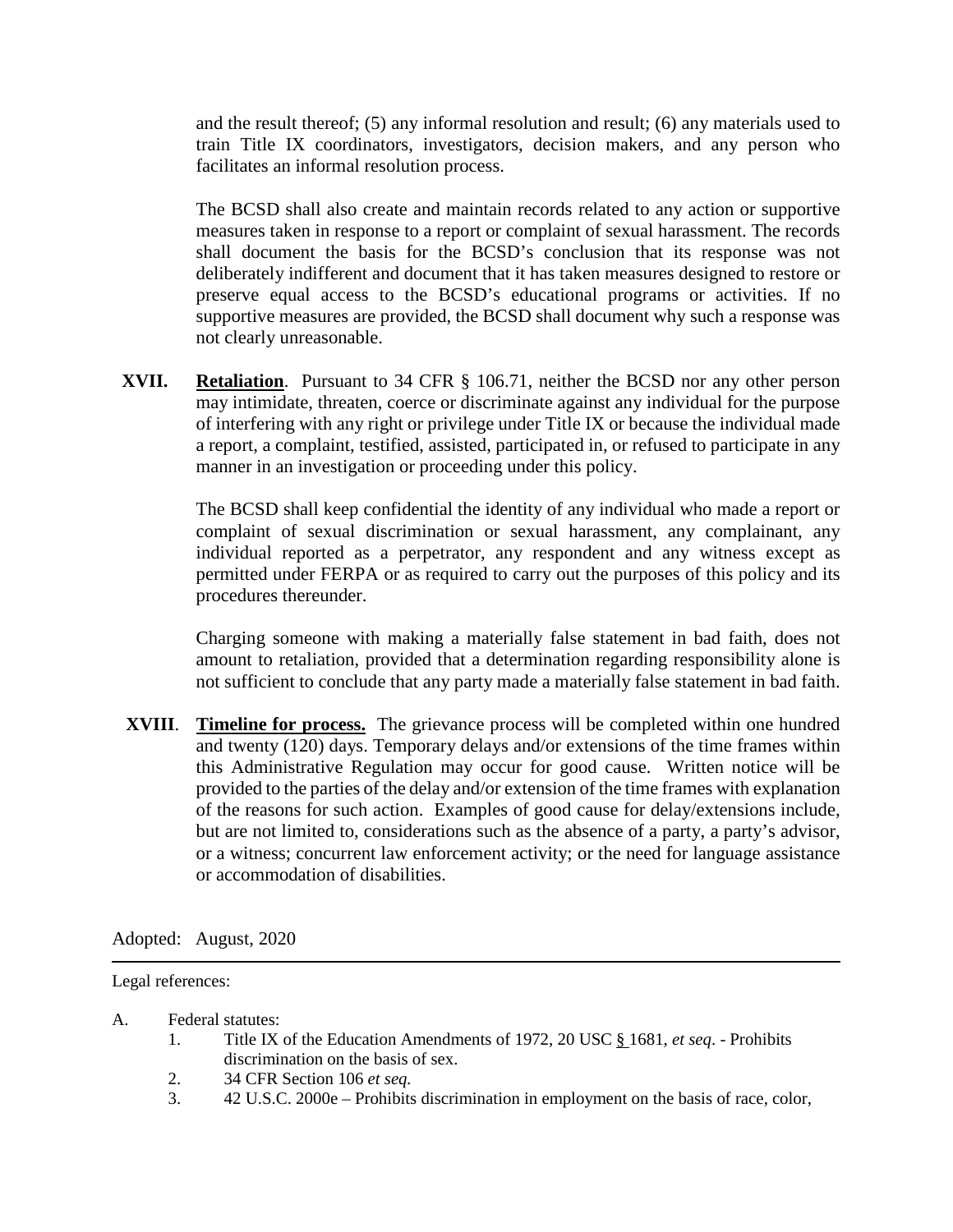and the result thereof; (5) any informal resolution and result; (6) any materials used to train Title IX coordinators, investigators, decision makers, and any person who facilitates an informal resolution process.

The BCSD shall also create and maintain records related to any action or supportive measures taken in response to a report or complaint of sexual harassment. The records shall document the basis for the BCSD's conclusion that its response was not deliberately indifferent and document that it has taken measures designed to restore or preserve equal access to the BCSD's educational programs or activities. If no supportive measures are provided, the BCSD shall document why such a response was not clearly unreasonable.

**XVII. Retaliation**. Pursuant to 34 CFR § 106.71, neither the BCSD nor any other person may intimidate, threaten, coerce or discriminate against any individual for the purpose of interfering with any right or privilege under Title IX or because the individual made a report, a complaint, testified, assisted, participated in, or refused to participate in any manner in an investigation or proceeding under this policy.

> The BCSD shall keep confidential the identity of any individual who made a report or complaint of sexual discrimination or sexual harassment, any complainant, any individual reported as a perpetrator, any respondent and any witness except as permitted under FERPA or as required to carry out the purposes of this policy and its procedures thereunder.

> Charging someone with making a materially false statement in bad faith, does not amount to retaliation, provided that a determination regarding responsibility alone is not sufficient to conclude that any party made a materially false statement in bad faith.

**XVIII**. **Timeline for process.** The grievance process will be completed within one hundred and twenty (120) days. Temporary delays and/or extensions of the time frames within this Administrative Regulation may occur for good cause. Written notice will be provided to the parties of the delay and/or extension of the time frames with explanation of the reasons for such action. Examples of good cause for delay/extensions include, but are not limited to, considerations such as the absence of a party, a party's advisor, or a witness; concurrent law enforcement activity; or the need for language assistance or accommodation of disabilities.

Adopted: August, 2020

Legal references:

A. Federal statutes:

- 1. Title IX of the Education Amendments of 1972, 20 USC § 1681, *et seq*. Prohibits discrimination on the basis of sex.
- 2. 34 CFR Section 106 *et seq.*
- 3. 42 U.S.C. 2000e Prohibits discrimination in employment on the basis of race, color,